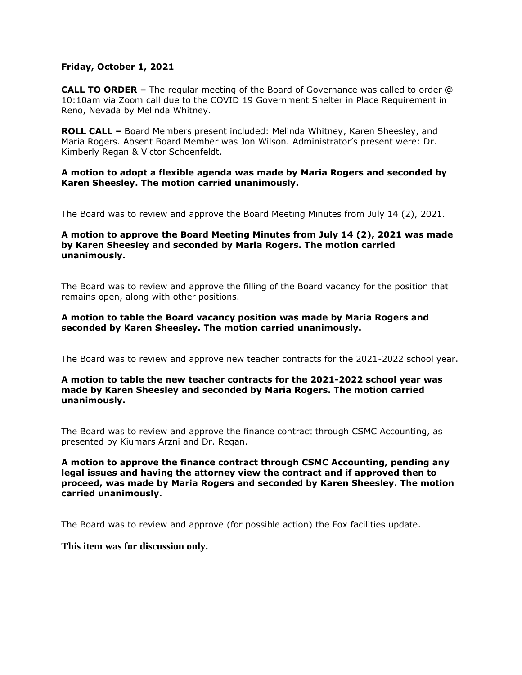## **Friday, October 1, 2021**

**CALL TO ORDER –** The regular meeting of the Board of Governance was called to order @ 10:10am via Zoom call due to the COVID 19 Government Shelter in Place Requirement in Reno, Nevada by Melinda Whitney.

**ROLL CALL –** Board Members present included: Melinda Whitney, Karen Sheesley, and Maria Rogers. Absent Board Member was Jon Wilson. Administrator's present were: Dr. Kimberly Regan & Victor Schoenfeldt.

#### **A motion to adopt a flexible agenda was made by Maria Rogers and seconded by Karen Sheesley. The motion carried unanimously.**

The Board was to review and approve the Board Meeting Minutes from July 14 (2), 2021.

## **A motion to approve the Board Meeting Minutes from July 14 (2), 2021 was made by Karen Sheesley and seconded by Maria Rogers. The motion carried unanimously.**

The Board was to review and approve the filling of the Board vacancy for the position that remains open, along with other positions.

#### **A motion to table the Board vacancy position was made by Maria Rogers and seconded by Karen Sheesley. The motion carried unanimously.**

The Board was to review and approve new teacher contracts for the 2021-2022 school year.

#### **A motion to table the new teacher contracts for the 2021-2022 school year was made by Karen Sheesley and seconded by Maria Rogers. The motion carried unanimously.**

The Board was to review and approve the finance contract through CSMC Accounting, as presented by Kiumars Arzni and Dr. Regan.

**A motion to approve the finance contract through CSMC Accounting, pending any legal issues and having the attorney view the contract and if approved then to proceed, was made by Maria Rogers and seconded by Karen Sheesley. The motion carried unanimously.**

The Board was to review and approve (for possible action) the Fox facilities update.

## **This item was for discussion only.**